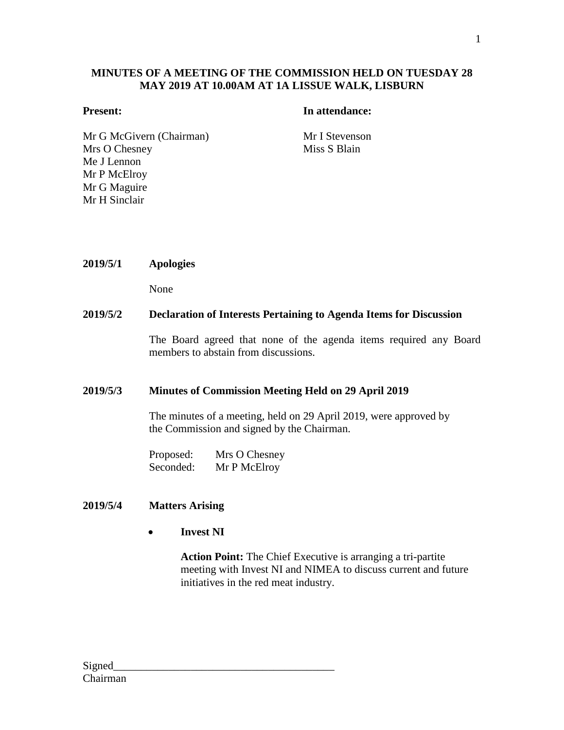#### **MINUTES OF A MEETING OF THE COMMISSION HELD ON TUESDAY 28 MAY 2019 AT 10.00AM AT 1A LISSUE WALK, LISBURN**

#### **Present: In attendance:**

Mr G McGivern (Chairman) Mr I Stevenson Mrs O Chesney Me J Lennon Mr P McElroy Mr G Maguire Mr H Sinclair

Miss S Blain

**2019/5/1 Apologies**

None

#### **2019/5/2 Declaration of Interests Pertaining to Agenda Items for Discussion**

The Board agreed that none of the agenda items required any Board members to abstain from discussions.

#### **2019/5/3 Minutes of Commission Meeting Held on 29 April 2019**

The minutes of a meeting, held on 29 April 2019, were approved by the Commission and signed by the Chairman.

Proposed: Mrs O Chesney Seconded: Mr P McElroy

#### **2019/5/4 Matters Arising**

**Invest NI**

**Action Point:** The Chief Executive is arranging a tri-partite meeting with Invest NI and NIMEA to discuss current and future initiatives in the red meat industry.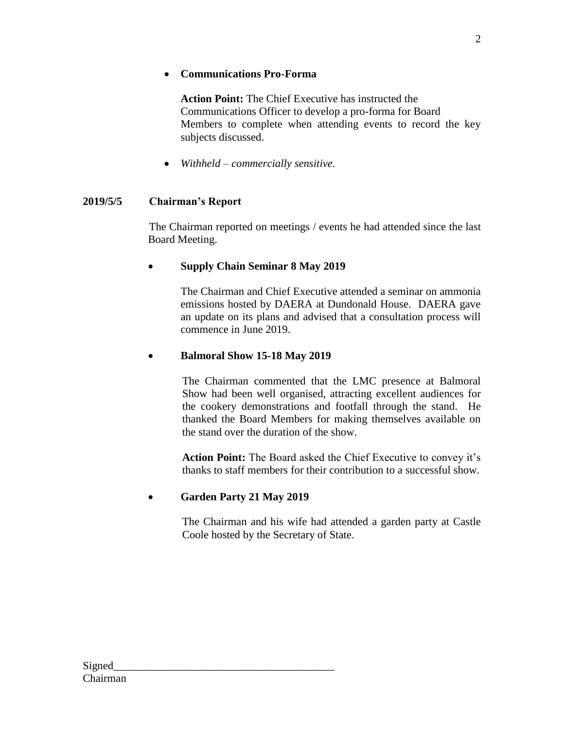## **Communications Pro-Forma**

**Action Point:** The Chief Executive has instructed the Communications Officer to develop a pro-forma for Board Members to complete when attending events to record the key subjects discussed.

*Withheld – commercially sensitive*.

# **2019/5/5 Chairman's Report**

The Chairman reported on meetings / events he had attended since the last Board Meeting.

# **Supply Chain Seminar 8 May 2019**

The Chairman and Chief Executive attended a seminar on ammonia emissions hosted by DAERA at Dundonald House. DAERA gave an update on its plans and advised that a consultation process will commence in June 2019.

# **Balmoral Show 15-18 May 2019**

The Chairman commented that the LMC presence at Balmoral Show had been well organised, attracting excellent audiences for the cookery demonstrations and footfall through the stand. He thanked the Board Members for making themselves available on the stand over the duration of the show.

**Action Point:** The Board asked the Chief Executive to convey it's thanks to staff members for their contribution to a successful show.

# **Garden Party 21 May 2019**

The Chairman and his wife had attended a garden party at Castle Coole hosted by the Secretary of State.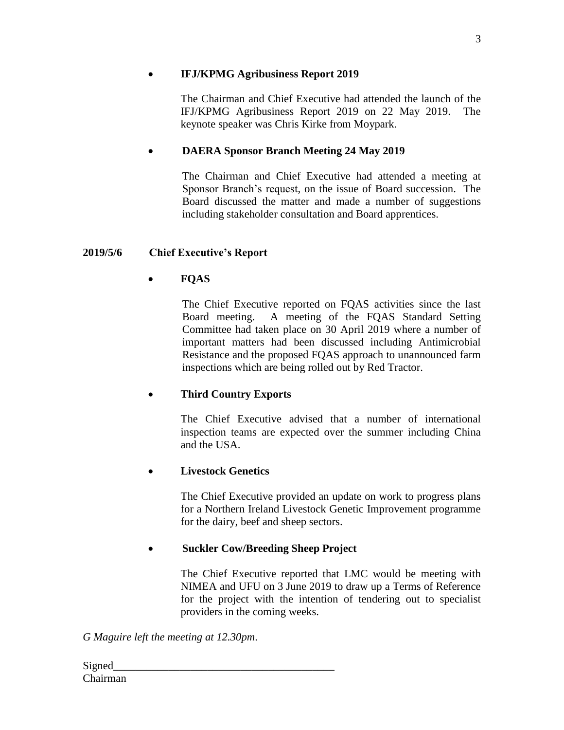### **IFJ/KPMG Agribusiness Report 2019**

The Chairman and Chief Executive had attended the launch of the IFJ/KPMG Agribusiness Report 2019 on 22 May 2019. The keynote speaker was Chris Kirke from Moypark.

# **DAERA Sponsor Branch Meeting 24 May 2019**

The Chairman and Chief Executive had attended a meeting at Sponsor Branch's request, on the issue of Board succession. The Board discussed the matter and made a number of suggestions including stakeholder consultation and Board apprentices.

# **2019/5/6 Chief Executive's Report**

# **FQAS**

The Chief Executive reported on FQAS activities since the last Board meeting. A meeting of the FQAS Standard Setting Committee had taken place on 30 April 2019 where a number of important matters had been discussed including Antimicrobial Resistance and the proposed FQAS approach to unannounced farm inspections which are being rolled out by Red Tractor.

# **Third Country Exports**

The Chief Executive advised that a number of international inspection teams are expected over the summer including China and the USA.

# **Livestock Genetics**

The Chief Executive provided an update on work to progress plans for a Northern Ireland Livestock Genetic Improvement programme for the dairy, beef and sheep sectors.

# **Suckler Cow/Breeding Sheep Project**

The Chief Executive reported that LMC would be meeting with NIMEA and UFU on 3 June 2019 to draw up a Terms of Reference for the project with the intention of tendering out to specialist providers in the coming weeks.

*G Maguire left the meeting at 12.30pm*.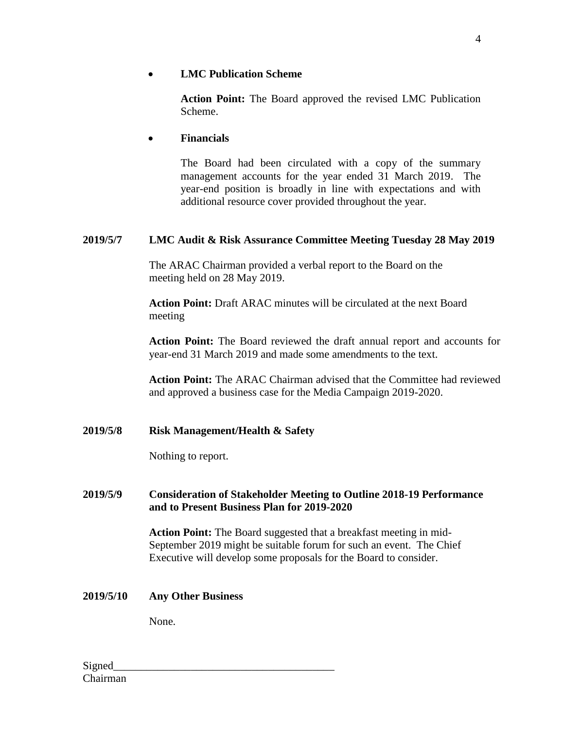#### **LMC Publication Scheme**

**Action Point:** The Board approved the revised LMC Publication Scheme.

#### **Financials**

The Board had been circulated with a copy of the summary management accounts for the year ended 31 March 2019. The year-end position is broadly in line with expectations and with additional resource cover provided throughout the year.

### **2019/5/7 LMC Audit & Risk Assurance Committee Meeting Tuesday 28 May 2019**

The ARAC Chairman provided a verbal report to the Board on the meeting held on 28 May 2019.

**Action Point:** Draft ARAC minutes will be circulated at the next Board meeting

**Action Point:** The Board reviewed the draft annual report and accounts for year-end 31 March 2019 and made some amendments to the text.

**Action Point:** The ARAC Chairman advised that the Committee had reviewed and approved a business case for the Media Campaign 2019-2020.

#### **2019/5/8 Risk Management/Health & Safety**

Nothing to report.

#### **2019/5/9 Consideration of Stakeholder Meeting to Outline 2018-19 Performance and to Present Business Plan for 2019-2020**

**Action Point:** The Board suggested that a breakfast meeting in mid-September 2019 might be suitable forum for such an event. The Chief Executive will develop some proposals for the Board to consider.

#### **2019/5/10 Any Other Business**

None.

4